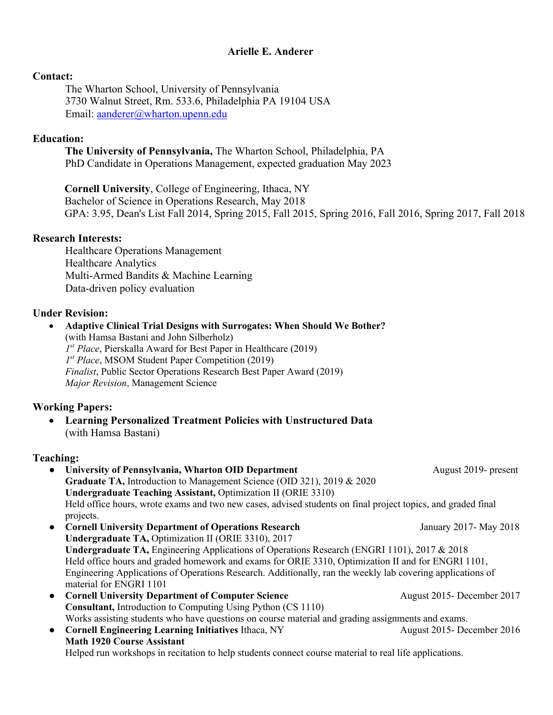# **Arielle E. Anderer**

### **Contact:**

The Wharton School, University of Pennsylvania 3730 Walnut Street, Rm. 533.6, Philadelphia PA 19104 USA Email: aanderer@wharton.upenn.edu

### **Education:**

**The University of Pennsylvania,** The Wharton School, Philadelphia, PA PhD Candidate in Operations Management, expected graduation May 2023

**Cornell University**, College of Engineering, Ithaca, NY Bachelor of Science in Operations Research, May 2018 GPA: 3.95, Dean's List Fall 2014, Spring 2015, Fall 2015, Spring 2016, Fall 2016, Spring 2017, Fall 2018

### **Research Interests:**

Healthcare Operations Management Healthcare Analytics Multi-Armed Bandits & Machine Learning Data-driven policy evaluation

# **Under Revision:**

• **Adaptive Clinical Trial Designs with Surrogates: When Should We Bother?** (with Hamsa Bastani and John Silberholz) *1st Place*, Pierskalla Award for Best Paper in Healthcare (2019) *1st Place*, MSOM Student Paper Competition (2019) *Finalist*, Public Sector Operations Research Best Paper Award (2019) *Major Revision*, Management Science

# **Working Papers:**

• **Learning Personalized Treatment Policies with Unstructured Data** (with Hamsa Bastani)

# **Teaching:**

- **University of Pennsylvania, Wharton OID Department** August 2019- present **Graduate TA,** Introduction to Management Science (OID 321), 2019 & 2020 **Undergraduate Teaching Assistant,** Optimization II (ORIE 3310) Held office hours, wrote exams and two new cases, advised students on final project topics, and graded final projects.
- **Cornell University Department of Operations Research** January 2017- May 2018 **Undergraduate TA,** Optimization II (ORIE 3310), 2017 **Undergraduate TA,** Engineering Applications of Operations Research (ENGRI 1101), 2017 & 2018 Held office hours and graded homework and exams for ORIE 3310, Optimization II and for ENGRI 1101, Engineering Applications of Operations Research. Additionally, ran the weekly lab covering applications of material for ENGRI 1101
- **Cornell University Department of Computer Science** August 2015- December 2017 **Consultant,** Introduction to Computing Using Python (CS 1110) Works assisting students who have questions on course material and grading assignments and exams.
- **Cornell Engineering Learning Initiatives** Ithaca, NY August 2015- December 2016 **Math 1920 Course Assistant** Helped run workshops in recitation to help students connect course material to real life applications.